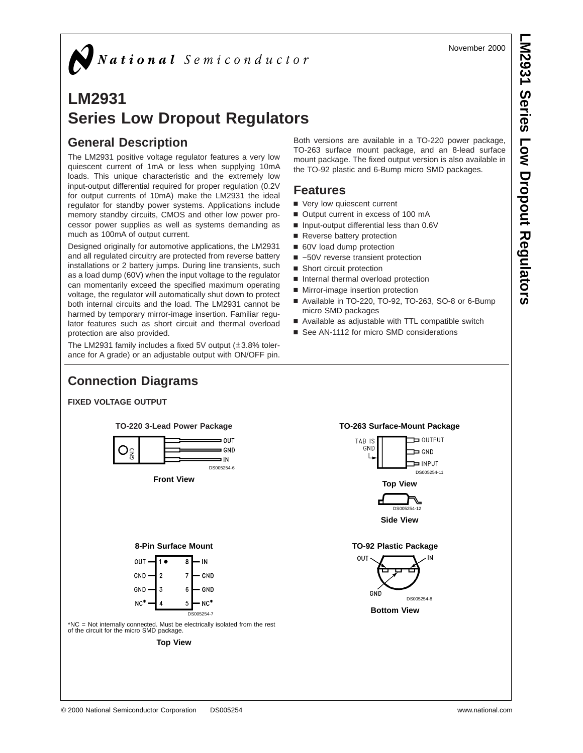November 2000

# **LM2931 Series Low Dropout Regulators**

## **General Description**

The LM2931 positive voltage regulator features a very low quiescent current of 1mA or less when supplying 10mA loads. This unique characteristic and the extremely low input-output differential required for proper regulation (0.2V for output currents of 10mA) make the LM2931 the ideal regulator for standby power systems. Applications include memory standby circuits, CMOS and other low power processor power supplies as well as systems demanding as much as 100mA of output current.

Designed originally for automotive applications, the LM2931 and all regulated circuitry are protected from reverse battery installations or 2 battery jumps. During line transients, such as a load dump (60V) when the input voltage to the regulator can momentarily exceed the specified maximum operating voltage, the regulator will automatically shut down to protect both internal circuits and the load. The LM2931 cannot be harmed by temporary mirror-image insertion. Familiar regulator features such as short circuit and thermal overload protection are also provided.

The LM2931 family includes a fixed 5V output (±3.8% tolerance for A grade) or an adjustable output with ON/OFF pin. Both versions are available in a TO-220 power package, TO-263 surface mount package, and an 8-lead surface mount package. The fixed output version is also available in the TO-92 plastic and 6-Bump micro SMD packages.

### **Features**

- Very low quiescent current
- Output current in excess of 100 mA
- Input-output differential less than 0.6V
- Reverse battery protection
- 60V load dump protection
- -50V reverse transient protection
- Short circuit protection
- n Internal thermal overload protection
- Mirror-image insertion protection
- Available in TO-220, TO-92, TO-263, SO-8 or 6-Bump micro SMD packages
- Available as adjustable with TTL compatible switch
- See AN-1112 for micro SMD considerations

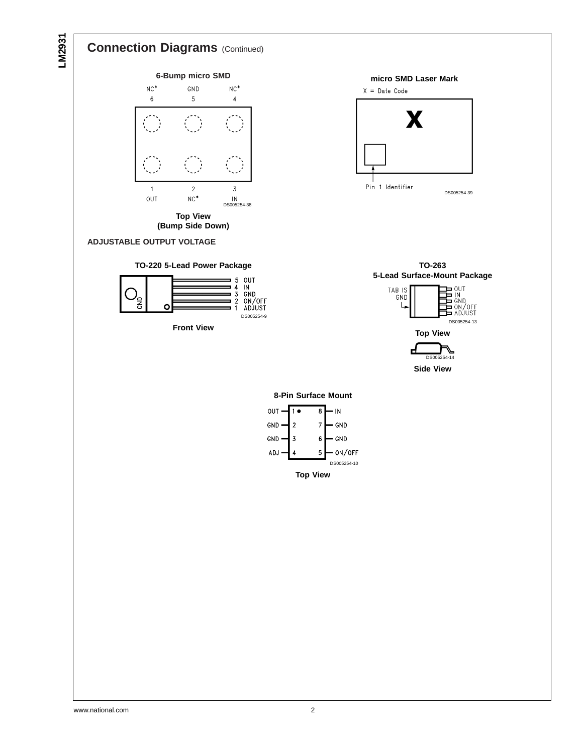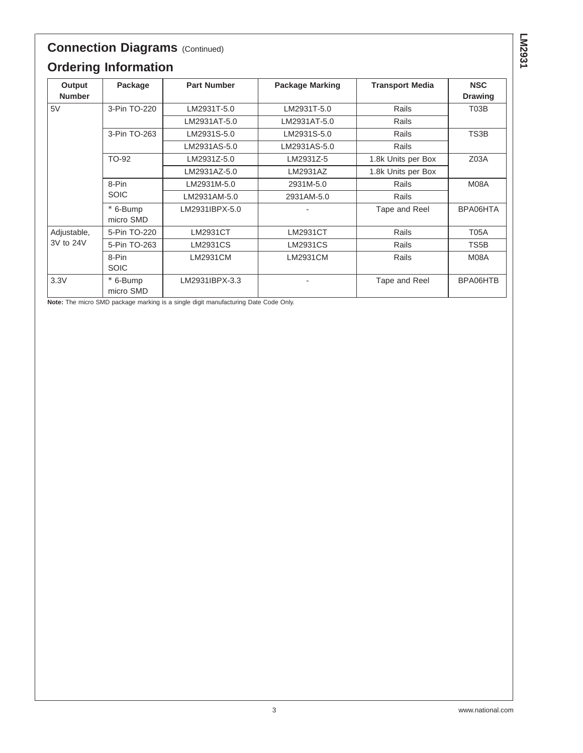# **Connection Diagrams** (Continued) **Ordering Information**

| Output        | Package               | <b>Part Number</b> | <b>Package Marking</b>   | <b>Transport Media</b> | <b>NSC</b>       |
|---------------|-----------------------|--------------------|--------------------------|------------------------|------------------|
| <b>Number</b> |                       |                    |                          |                        | <b>Drawing</b>   |
| 5V            | 3-Pin TO-220          | LM2931T-5.0        | LM2931T-5.0              | Rails                  | T03B             |
|               |                       | LM2931AT-5.0       | LM2931AT-5.0             | Rails                  |                  |
|               | 3-Pin TO-263          | LM2931S-5.0        | LM2931S-5.0              | Rails                  | TS3B             |
|               |                       | LM2931AS-5.0       | LM2931AS-5.0             | Rails                  |                  |
|               | TO-92                 | LM2931Z-5.0        | LM2931Z-5                | 1.8k Units per Box     | Z <sub>03A</sub> |
|               |                       | LM2931AZ-5.0       | LM2931AZ                 | 1.8k Units per Box     |                  |
|               | 8-Pin                 | LM2931M-5.0        | 2931M-5.0                | Rails                  | M08A             |
|               | <b>SOIC</b>           | LM2931AM-5.0       | 2931AM-5.0               | Rails                  |                  |
|               | * 6-Bump<br>micro SMD | LM2931IBPX-5.0     |                          | Tape and Reel          | BPA06HTA         |
| Adjustable,   | 5-Pin TO-220          | LM2931CT           | LM2931CT                 | Rails                  | <b>T05A</b>      |
| 3V to 24V     | 5-Pin TO-263          | <b>LM2931CS</b>    | LM2931CS                 | Rails                  | TS5B             |
|               | 8-Pin<br><b>SOIC</b>  | LM2931CM           | LM2931CM                 | Rails                  | M08A             |
| 3.3V          | * 6-Bump<br>micro SMD | LM2931IBPX-3.3     | $\overline{\phantom{a}}$ | Tape and Reel          | BPA06HTB         |

**Note:** The micro SMD package marking is a single digit manufacturing Date Code Only.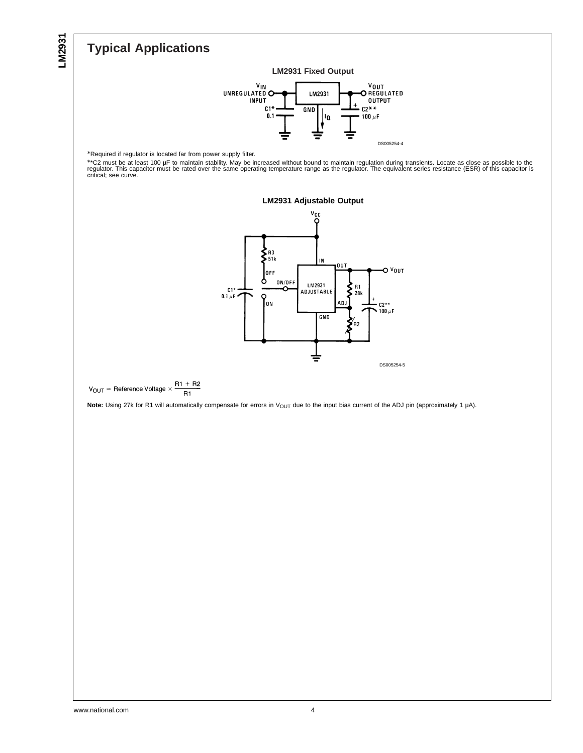# **Typical Applications**



\*Required if regulator is located far from power supply filter.

\*\*C2 must be at least 100 µF to maintain stability. May be increased without bound to maintain regulation during transients. Locate as close as possible to the<br>regulator. This capacitor must be rated over the same operatin





 $R1 + R2$  $V_{OUT}$  = Reference Voltage  $\times$  $R1$ 

Note: Using 27k for R1 will automatically compensate for errors in V<sub>OUT</sub> due to the input bias current of the ADJ pin (approximately 1 µA).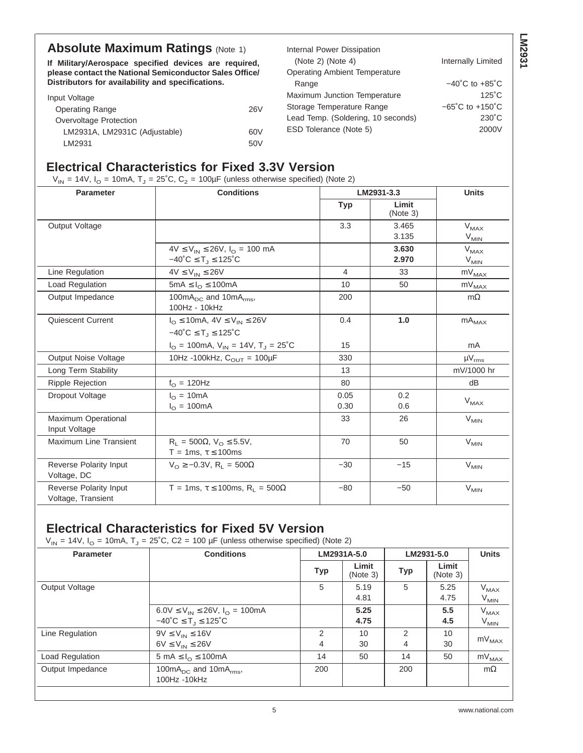## **Absolute Maximum Ratings (Note 1)**

**If Military/Aerospace specified devices are required, please contact the National Semiconductor Sales Office/ Distributors for availability and specifications.**

| Distributors for availability and specifications. |            | Range                              | $-40^{\circ}$ C to $+85^{\circ}$ C  |
|---------------------------------------------------|------------|------------------------------------|-------------------------------------|
| Input Voltage                                     |            | Maximum Junction Temperature       | $125^\circ C$                       |
| <b>Operating Range</b>                            | <b>26V</b> | Storage Temperature Range          | $-65^{\circ}$ C to $+150^{\circ}$ C |
| Overvoltage Protection                            |            | Lead Temp. (Soldering, 10 seconds) | $230^{\circ}$ C                     |
| LM2931A, LM2931C (Adjustable)                     | 60V        | ESD Tolerance (Note 5)             | 2000V                               |
| LM2931                                            | 50V        |                                    |                                     |

Internal Power Dissipation

Operating Ambient Temperature

(Note 2) (Note 4) Internally Limited

### **Electrical Characteristics for Fixed 3.3V Version**

 $V_{IN}$  = 14V,  $I_{O}$  = 10mA,  $T_{J}$  = 25°C,  $C_{2}$  = 100 $\mu$ F (unless otherwise specified) (Note 2)

| <b>Parameter</b>                             | <b>Conditions</b>                                                                       |              | LM2931-3.3        |                                          |  |
|----------------------------------------------|-----------------------------------------------------------------------------------------|--------------|-------------------|------------------------------------------|--|
|                                              |                                                                                         | <b>Typ</b>   | Limit<br>(Note 3) |                                          |  |
| Output Voltage                               |                                                                                         | 3.3          | 3.465<br>3.135    | $\mathsf{V}_{\mathsf{MAX}}$<br>$V_{MIN}$ |  |
|                                              | $4V \le V_{IN} \le 26V$ , $I_{O} = 100$ mA<br>$-40^{\circ}C \leq T_1 \leq 125^{\circ}C$ |              | 3.630<br>2.970    | $V_{MAX}$<br>$V_{MIN}$                   |  |
| Line Regulation                              | $4V \leq V_{IN} \leq 26V$                                                               | 4            | 33                | $mV_{MAX}$                               |  |
| Load Regulation                              | 5mA $\leq$ $I_{\odot}$ $\leq$ 100mA                                                     | 10           | 50                | $mV_{MAX}$                               |  |
| Output Impedance                             | 100mA <sub>DC</sub> and 10mA <sub>rms</sub> ,<br>100Hz - 10kHz                          | 200          |                   | $m\Omega$                                |  |
| Quiescent Current                            | $I_{\text{O}} \le 10$ mA, $4V \le V_{\text{IN}} \le 26V$                                | 0.4          | 1.0               | $\mathsf{mA}_\mathsf{MAX}$               |  |
|                                              | $-40^{\circ}C \leq T_1 \leq 125^{\circ}C$                                               |              |                   |                                          |  |
|                                              | $I_{\text{O}} = 100 \text{mA}, V_{\text{IN}} = 14V, T_{\text{J}} = 25^{\circ}\text{C}$  | 15           |                   | mA                                       |  |
| Output Noise Voltage                         | 10Hz -100kHz, $C_{\text{OUT}} = 100 \mu F$                                              | 330          |                   | $\mu V_{rms}$                            |  |
| Long Term Stability                          |                                                                                         | 13           |                   | mV/1000 hr                               |  |
| <b>Ripple Rejection</b>                      | $f_{\rm O} = 120$ Hz                                                                    | 80           |                   | dB                                       |  |
| Dropout Voltage                              | $I_{\Omega}$ = 10mA<br>$I_{\odot} = 100mA$                                              | 0.05<br>0.30 | 0.2<br>0.6        | $V_{MAX}$                                |  |
| Maximum Operational<br>Input Voltage         |                                                                                         | 33           | 26                | $V_{MIN}$                                |  |
| <b>Maximum Line Transient</b>                | $R_1 = 500\Omega, V_0 \le 5.5V,$<br>T = 1ms, $\tau \leq 100$ ms                         | 70           | 50                | $V_{MIN}$                                |  |
| Reverse Polarity Input<br>Voltage, DC        | $V_{\Omega} \ge -0.3V$ , R <sub>L</sub> = 500 $\Omega$                                  | $-30$        | $-15$             | $V_{MIN}$                                |  |
| Reverse Polarity Input<br>Voltage, Transient | T = 1ms, $\tau \le 100$ ms, R <sub>1</sub> = 500 $\Omega$                               | $-80$        | $-50$             | $V_{MIN}$                                |  |

### **Electrical Characteristics for Fixed 5V Version**

 $V_{IN}$  = 14V,  $I_{O}$  = 10mA,  $T_{J}$  = 25°C, C2 = 100 µF (unless otherwise specified) (Note 2)

| <b>Parameter</b> | <b>Conditions</b>                                                                                            |            | LM2931A-5.0       |        | LM2931-5.0        |                        |
|------------------|--------------------------------------------------------------------------------------------------------------|------------|-------------------|--------|-------------------|------------------------|
|                  |                                                                                                              | <b>Typ</b> | Limit<br>(Note 3) | Typ    | Limit<br>(Note 3) |                        |
| Output Voltage   |                                                                                                              | 5          | 5.19<br>4.81      | 5      | 5.25<br>4.75      | $V_{MAX}$<br>$V_{MIN}$ |
|                  | $6.0V \le V_{IN} \le 26V$ , $I_{O} = 100mA$<br>$-40^{\circ}$ C $\leq$ T <sub>J</sub> $\leq$ 125 $^{\circ}$ C |            | 5.25<br>4.75      |        | 5.5<br>4.5        | $V_{MAX}$<br>$V_{MIN}$ |
| Line Regulation  | $9V \le V_{IN} \le 16V$<br>$6V \leq V_{IN} \leq 26V$                                                         | 2<br>4     | 10<br>30          | 2<br>4 | 10<br>30          | $mV_{MAX}$             |
| Load Regulation  | 5 mA $\leq$ $I_{\odot}$ $\leq$ 100mA                                                                         | 14         | 50                | 14     | 50                | $mV_{MAX}$             |
| Output Impedance | 100 $mA_{DC}$ and 10 $mA_{rms}$ ,<br>100Hz -10kHz                                                            | 200        |                   | 200    |                   | $m\Omega$              |

**LM2931**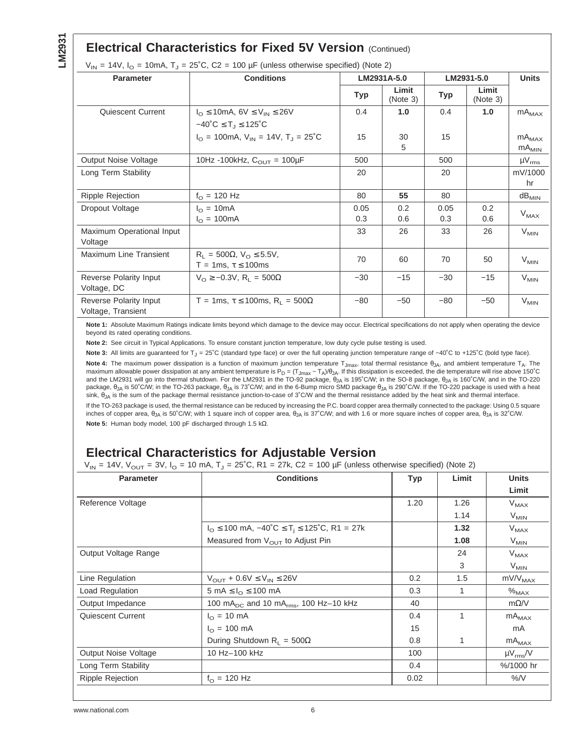### **Electrical Characteristics for Fixed 5V Version (Continued)**

| Parameter                                    | <b>Conditions</b>                                                                      |       | LM2931A-5.0       |       | LM2931-5.0        |                            |
|----------------------------------------------|----------------------------------------------------------------------------------------|-------|-------------------|-------|-------------------|----------------------------|
|                                              |                                                                                        | Typ   | Limit<br>(Note 3) | Typ   | Limit<br>(Note 3) |                            |
| Quiescent Current                            | $I_{\Omega}$ $\leq$ 10mA, 6V $\leq$ V <sub>IN</sub> $\leq$ 26V                         | 0.4   | 1.0               | 0.4   | 1.0               | $mA_{MAX}$                 |
|                                              | $-40^{\circ}C \leq T_J \leq 125^{\circ}C$                                              |       |                   |       |                   |                            |
|                                              | $I_{\text{O}} = 100 \text{mA}, V_{\text{IN}} = 14V, T_{\text{I}} = 25^{\circ}\text{C}$ | 15    | 30<br>5           | 15    |                   | $mA_{MAX}$<br>$mA_{MIN}$   |
| <b>Output Noise Voltage</b>                  | 10Hz -100kHz, $C_{\text{OUT}} = 100 \mu F$                                             | 500   |                   | 500   |                   | $\mu V_{rms}$              |
| Long Term Stability                          |                                                                                        | 20    |                   | 20    |                   | mV/1000                    |
|                                              |                                                                                        |       |                   |       |                   | hr                         |
| Ripple Rejection                             | $f_{\Omega}$ = 120 Hz                                                                  | 80    | 55                | 80    |                   | $\mathsf{dB}_\mathsf{MIN}$ |
| Dropout Voltage                              | $I_{\Omega}$ = 10mA                                                                    | 0.05  | 0.2               | 0.05  | 0.2               |                            |
|                                              | $I_{\Omega} = 100 \text{mA}$                                                           | 0.3   | 0.6               | 0.3   | 0.6               | $V_{MAX}$                  |
| Maximum Operational Input<br>Voltage         |                                                                                        | 33    | 26                | 33    | 26                | $V_{MIN}$                  |
| Maximum Line Transient                       | $R_1 = 500\Omega$ , $V_0 \le 5.5V$ ,<br>T = 1ms, $\tau \leq 100$ ms                    | 70    | 60                | 70    | 50                | $V_{MIN}$                  |
| Reverse Polarity Input<br>Voltage, DC        | $V_{\Omega} \ge -0.3V$ , R <sub>1</sub> = 500 $\Omega$                                 | $-30$ | $-15$             | $-30$ | $-15$             | $V_{MIN}$                  |
| Reverse Polarity Input<br>Voltage, Transient | T = 1ms, $\tau \le 100$ ms, R <sub>L</sub> = 500 $\Omega$                              | $-80$ | $-50$             | $-80$ | $-50$             | $V_{MIN}$                  |

 $25^\circ$ C, C2 = 100  $\mu$ F (unless otherwise specified) (Note 2)

**Note 1:** Absolute Maximum Ratings indicate limits beyond which damage to the device may occur. Electrical specifications do not apply when operating the device beyond its rated operating conditions.

**Note 2:** See circuit in Typical Applications. To ensure constant junction temperature, low duty cycle pulse testing is used.

Note 3: All limits are guaranteed for T<sub>J</sub> = 25°C (standard type face) or over the full operating junction temperature range of −40°C to +125°C (bold type face).

Note 4: The maximum power dissipation is a function of maximum junction temperature T<sub>Jmax</sub>, total thermal resistance θ<sub>JA</sub>, and ambient temperature T<sub>A</sub>. The maximum allowable power dissipation at any ambient temperature is  $P_D = (T_{Jmax} - T_A)/\theta_{JA}$ . If this dissipation is exceeded, the die temperature will rise above 150°C and the LM2931 will go into thermal shutdown. For the LM2931 in the TO-92 package,  $\theta_{1A}$  is 195°C/W; in the SO-8 package,  $\theta_{1A}$  is 160°C/W, and in the TO-220 package,  $\theta_{JA}$  is 50°C/W; in the TO-263 package,  $\theta_{JA}$  is 73°C/W; and in the 6-Bump micro SMD package  $\theta_{JA}$  is 290°C/W. If the TO-220 package is used with a heat sink, θ<sub>JA</sub> is the sum of the package thermal resistance junction-to-case of 3°C/W and the thermal resistance added by the heat sink and thermal interface.

If the TO-263 package is used, the thermal resistance can be reduced by increasing the P.C. board copper area thermally connected to the package: Using 0.5 square inches of copper area, θ<sub>JA</sub> is 50°C/W; with 1 square inch of copper area, θ<sub>JA</sub> is 37°C/W; and with 1.6 or more square inches of copper area, θ<sub>JA</sub> is 32°C/W. **Note 5:** Human body model, 100 pF discharged through 1.5 kΩ.

## **Electrical Characteristics for Adjustable Version**

 $V_{IN}$  = 14V,  $V_{OUT}$  = 3V,  $I_{O}$  = 10 mA,  $T_{J}$  = 25°C, R1 = 27k, C2 = 100 µF (unless otherwise specified) (Note 2)

| <b>Parameter</b>            | <b>Conditions</b>                                                                                     | <b>Typ</b> | Limit | <b>Units</b>      |
|-----------------------------|-------------------------------------------------------------------------------------------------------|------------|-------|-------------------|
|                             |                                                                                                       |            |       | Limit             |
| Reference Voltage           |                                                                                                       | 1.20       | 1.26  | $V_{MAX}$         |
|                             |                                                                                                       |            | 1.14  | $V_{MIN}$         |
|                             | $I_{\text{O}}$ $\leq$ 100 mA, $-40^{\circ}$ C $\leq$ T <sub>i</sub> $\leq$ 125 $^{\circ}$ C, R1 = 27k |            | 1.32  | $V_{MAX}$         |
|                             | Measured from V <sub>OUT</sub> to Adjust Pin                                                          |            | 1.08  | $V_{MIN}$         |
| Output Voltage Range        |                                                                                                       |            | 24    | $V_{MAX}$         |
|                             |                                                                                                       |            | 3     | $V_{MIN}$         |
| Line Regulation             | $V_{OUT}$ + 0.6V $\leq$ $V_{IN}$ $\leq$ 26V                                                           | 0.2        | 1.5   | $mV/V_{MAX}$      |
| Load Regulation             | 5 mA $\leq I_{\Omega} \leq 100$ mA                                                                    | 0.3        |       | $\%_{\text{MAX}}$ |
| Output Impedance            | 100 mA <sub>DC</sub> and 10 mA <sub>rms</sub> , 100 Hz-10 kHz                                         | 40         |       | $m\Omega/V$       |
| Quiescent Current           | $I_{\Omega} = 10 \text{ mA}$                                                                          | 0.4        | 1     | $mA_{MAX}$        |
|                             | $I_{\Omega} = 100 \text{ mA}$                                                                         | 15         |       | mA                |
|                             | During Shutdown R <sub>1</sub> = 500 $\Omega$                                                         | 0.8        |       | $mA_{MAX}$        |
| <b>Output Noise Voltage</b> | 10 Hz-100 kHz                                                                                         | 100        |       | $\mu V_{rms}/V$   |
| Long Term Stability         |                                                                                                       | 0.4        |       | %/1000 hr         |
| <b>Ripple Rejection</b>     | $f_{\Omega}$ = 120 Hz                                                                                 | 0.02       |       | %N                |
|                             |                                                                                                       |            |       |                   |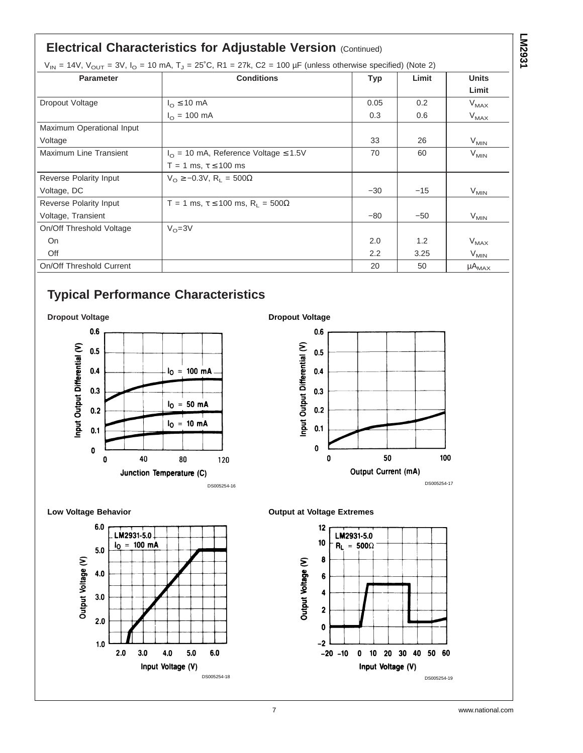## **Electrical Characteristics for Adjustable Version (Continued)**

| $V_{IN}$ = 14V, $V_{OUT}$ = 3V, $I_{O}$ = 10 mA, T <sub>J</sub> = 25°C, R1 = 27k, C2 = 100 µF (unless otherwise specified) (Note 2) |  |
|-------------------------------------------------------------------------------------------------------------------------------------|--|
|-------------------------------------------------------------------------------------------------------------------------------------|--|

| <b>Parameter</b>          | <b>Conditions</b>                                          | <b>Typ</b> | Limit | <b>Units</b>  |  |
|---------------------------|------------------------------------------------------------|------------|-------|---------------|--|
|                           |                                                            |            |       | Limit         |  |
| Dropout Voltage           | $I_{\Omega} \leq 10$ mA                                    | 0.05       | 0.2   | $V_{MAX}$     |  |
|                           | $I_{\odot} = 100 \text{ mA}$                               | 0.3        | 0.6   | $V_{MAX}$     |  |
| Maximum Operational Input |                                                            |            |       |               |  |
| Voltage                   |                                                            | 33         | 26    | $V_{MIN}$     |  |
| Maximum Line Transient    | $I_{\Omega}$ = 10 mA, Reference Voltage $\leq 1.5$ V       | 70         | 60    | $V_{MIN}$     |  |
|                           | T = 1 ms, $\tau \le 100$ ms                                |            |       |               |  |
| Reverse Polarity Input    | $V_{\Omega} \ge -0.3V$ , R <sub>1</sub> = 500 $\Omega$     |            |       |               |  |
| Voltage, DC               |                                                            | $-30$      | $-15$ | $V_{MIN}$     |  |
| Reverse Polarity Input    | T = 1 ms, $\tau \le 100$ ms, R <sub>1</sub> = 500 $\Omega$ |            |       |               |  |
| Voltage, Transient        |                                                            | $-80$      | $-50$ | $V_{MIN}$     |  |
| On/Off Threshold Voltage  | $V_{\Omega} = 3V$                                          |            |       |               |  |
| On                        |                                                            | 2.0        | 1.2   | $V_{MAX}$     |  |
| Off                       |                                                            | 2.2        | 3.25  | $V_{MIN}$     |  |
| On/Off Threshold Current  |                                                            | 20         | 50    | $\mu A_{MAX}$ |  |

**Dropout Voltage**

# **Typical Performance Characteristics**



### $0.6$ Input Output Differential (V)  $0.5$  $0.4$  $0.3$  $0.2$  $0.1$  $\pmb{0}$ 100  $\pmb{0}$ 50 Output Current (mA) DS005254-17

**Low Voltage Behavior**





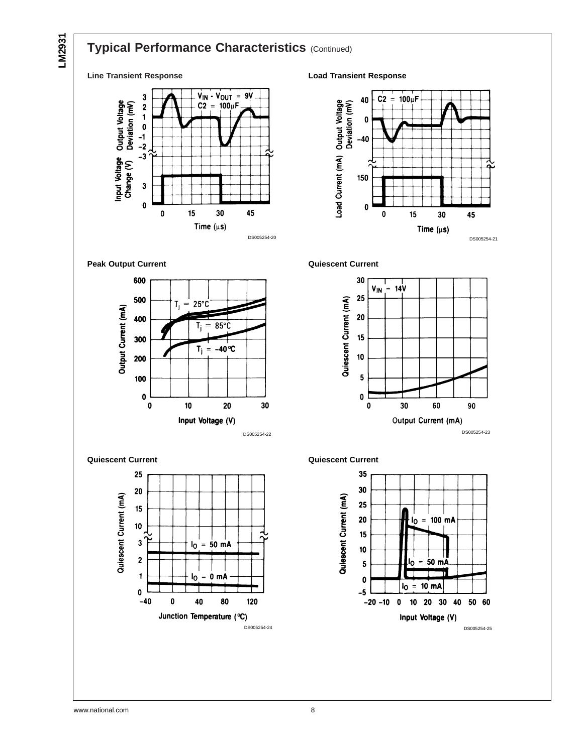## **Typical Performance Characteristics (Continued)**

### **Line Transient Response**



**Load Transient Response**



**Peak Output Current**



**Quiescent Current**



**Quiescent Current**





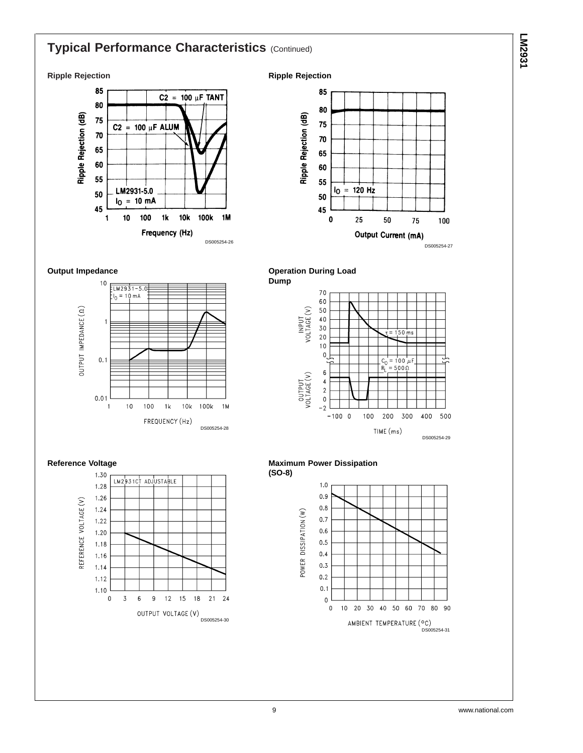# **Typical Performance Characteristics (Continued)**

### **Ripple Rejection**











**Output Impedance**

OUTPUT IMPEDANCE (0)

 $10$ 

 $\overline{1}$ 

 $0.1$ 

 $0.01$ 

 $\overline{1}$ 

 $= L M 2931 - 5.05$ 

 $10$ 

100  $1<sub>k</sub>$  $10k$ 

FREQUENCY (Hz)

 $I_0 = 10 \text{ mA}$ 



DS005254-28

 $100k$  $1M$ 



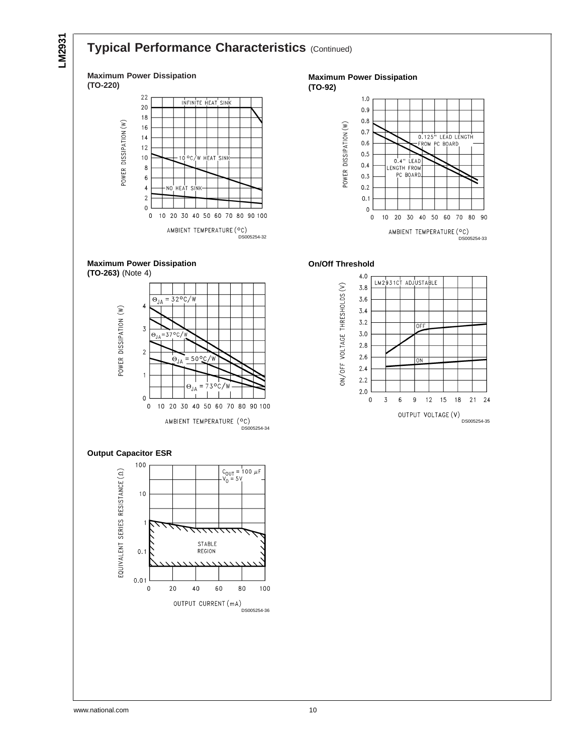

## **Typical Performance Characteristics (Continued)**



### **Maximum Power Dissipation**

**(TO-92)**





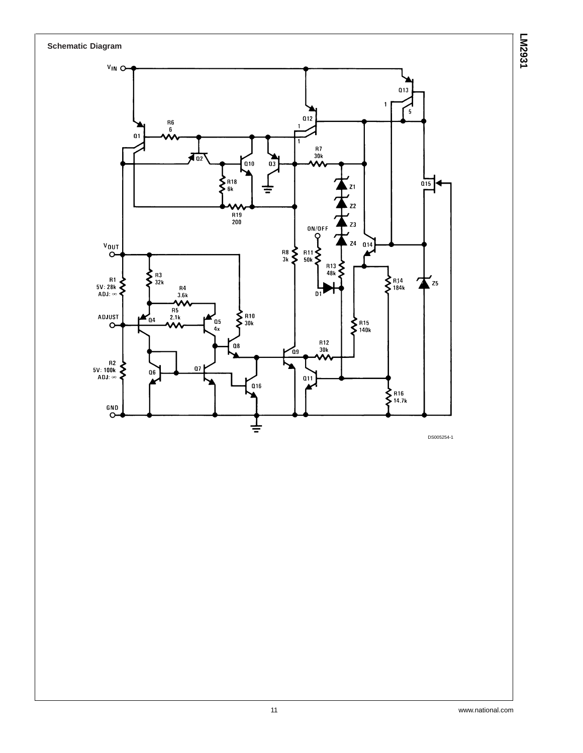



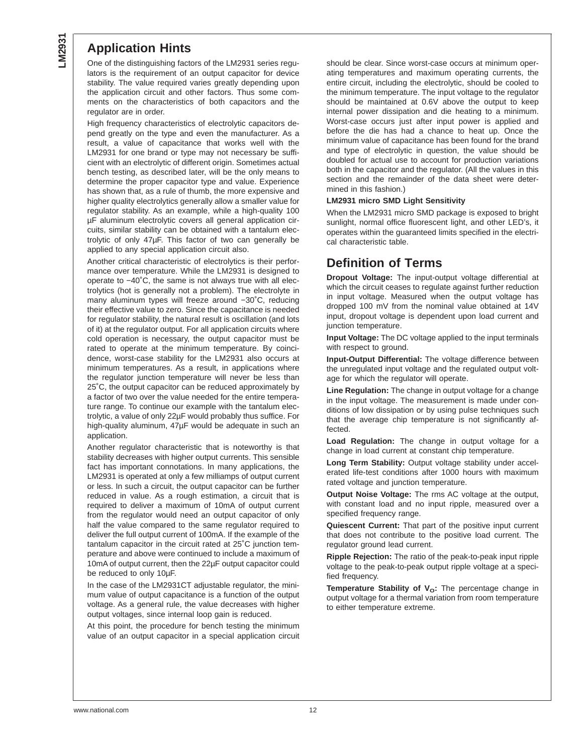### **Application Hints**

One of the distinguishing factors of the LM2931 series regulators is the requirement of an output capacitor for device stability. The value required varies greatly depending upon the application circuit and other factors. Thus some comments on the characteristics of both capacitors and the regulator are in order.

High frequency characteristics of electrolytic capacitors depend greatly on the type and even the manufacturer. As a result, a value of capacitance that works well with the LM2931 for one brand or type may not necessary be sufficient with an electrolytic of different origin. Sometimes actual bench testing, as described later, will be the only means to determine the proper capacitor type and value. Experience has shown that, as a rule of thumb, the more expensive and higher quality electrolytics generally allow a smaller value for regulator stability. As an example, while a high-quality 100 µF aluminum electrolytic covers all general application circuits, similar stability can be obtained with a tantalum electrolytic of only 47µF. This factor of two can generally be applied to any special application circuit also.

Another critical characteristic of electrolytics is their performance over temperature. While the LM2931 is designed to operate to −40˚C, the same is not always true with all electrolytics (hot is generally not a problem). The electrolyte in many aluminum types will freeze around −30˚C, reducing their effective value to zero. Since the capacitance is needed for regulator stability, the natural result is oscillation (and lots of it) at the regulator output. For all application circuits where cold operation is necessary, the output capacitor must be rated to operate at the minimum temperature. By coincidence, worst-case stability for the LM2931 also occurs at minimum temperatures. As a result, in applications where the regulator junction temperature will never be less than 25˚C, the output capacitor can be reduced approximately by a factor of two over the value needed for the entire temperature range. To continue our example with the tantalum electrolytic, a value of only 22µF would probably thus suffice. For high-quality aluminum, 47µF would be adequate in such an application.

Another regulator characteristic that is noteworthy is that stability decreases with higher output currents. This sensible fact has important connotations. In many applications, the LM2931 is operated at only a few milliamps of output current or less. In such a circuit, the output capacitor can be further reduced in value. As a rough estimation, a circuit that is required to deliver a maximum of 10mA of output current from the regulator would need an output capacitor of only half the value compared to the same regulator required to deliver the full output current of 100mA. If the example of the tantalum capacitor in the circuit rated at 25˚C junction temperature and above were continued to include a maximum of 10mA of output current, then the 22µF output capacitor could be reduced to only 10µF.

In the case of the LM2931CT adjustable regulator, the minimum value of output capacitance is a function of the output voltage. As a general rule, the value decreases with higher output voltages, since internal loop gain is reduced.

At this point, the procedure for bench testing the minimum value of an output capacitor in a special application circuit should be clear. Since worst-case occurs at minimum operating temperatures and maximum operating currents, the entire circuit, including the electrolytic, should be cooled to the minimum temperature. The input voltage to the regulator should be maintained at 0.6V above the output to keep internal power dissipation and die heating to a minimum. Worst-case occurs just after input power is applied and before the die has had a chance to heat up. Once the minimum value of capacitance has been found for the brand and type of electrolytic in question, the value should be doubled for actual use to account for production variations both in the capacitor and the regulator. (All the values in this section and the remainder of the data sheet were determined in this fashion.)

#### **LM2931 micro SMD Light Sensitivity**

When the LM2931 micro SMD package is exposed to bright sunlight, normal office fluorescent light, and other LED's, it operates within the guaranteed limits specified in the electrical characteristic table.

### **Definition of Terms**

**Dropout Voltage:** The input-output voltage differential at which the circuit ceases to regulate against further reduction in input voltage. Measured when the output voltage has dropped 100 mV from the nominal value obtained at 14V input, dropout voltage is dependent upon load current and junction temperature.

**Input Voltage:** The DC voltage applied to the input terminals with respect to ground.

**Input-Output Differential:** The voltage difference between the unregulated input voltage and the regulated output voltage for which the regulator will operate.

**Line Regulation:** The change in output voltage for a change in the input voltage. The measurement is made under conditions of low dissipation or by using pulse techniques such that the average chip temperature is not significantly affected.

**Load Regulation:** The change in output voltage for a change in load current at constant chip temperature.

**Long Term Stability:** Output voltage stability under accelerated life-test conditions after 1000 hours with maximum rated voltage and junction temperature.

**Output Noise Voltage:** The rms AC voltage at the output, with constant load and no input ripple, measured over a specified frequency range.

**Quiescent Current:** That part of the positive input current that does not contribute to the positive load current. The regulator ground lead current.

**Ripple Rejection:** The ratio of the peak-to-peak input ripple voltage to the peak-to-peak output ripple voltage at a specified frequency.

**Temperature Stability of V<sub>o</sub>:** The percentage change in output voltage for a thermal variation from room temperature to either temperature extreme.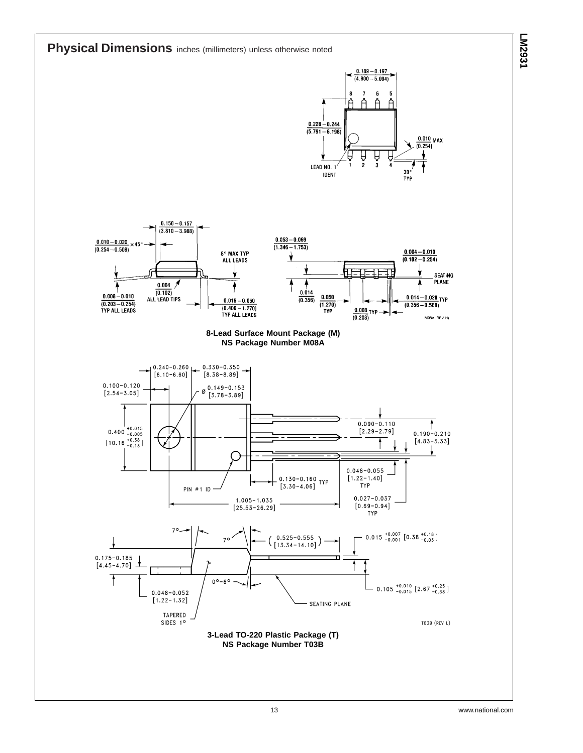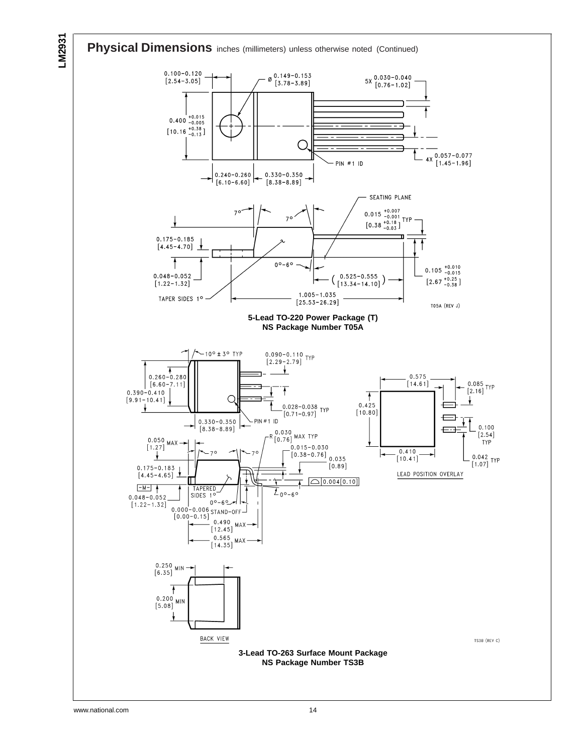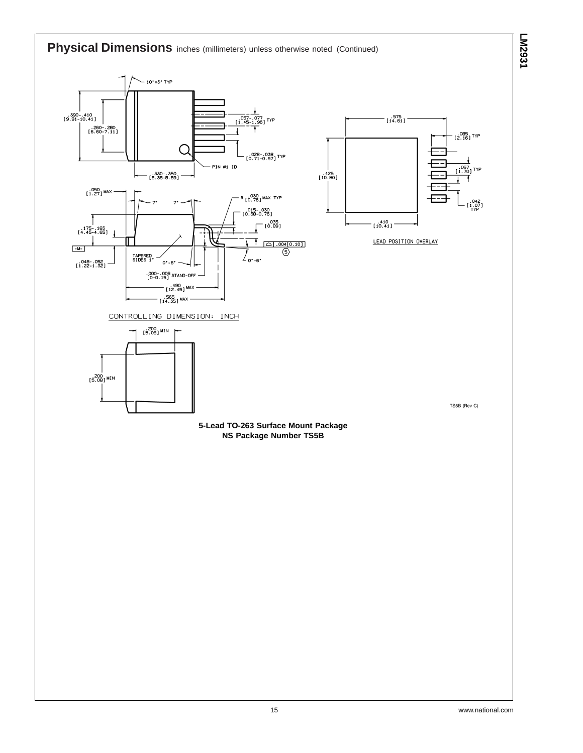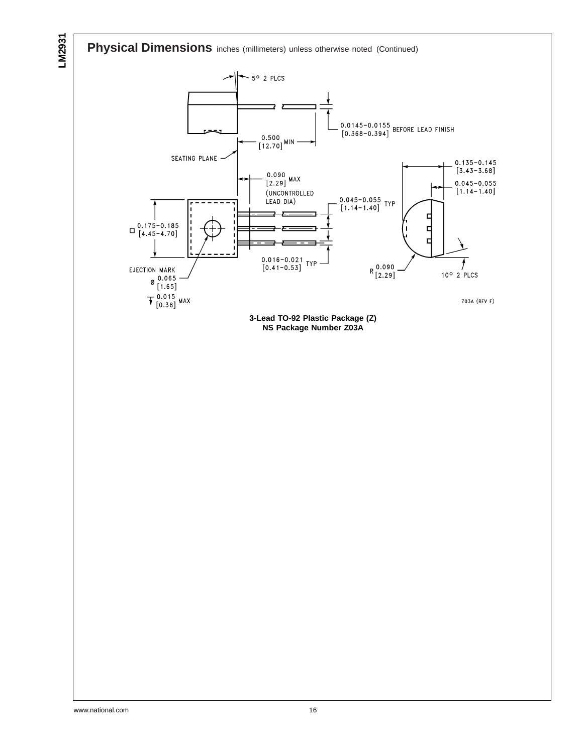**Physical Dimensions** inches (millimeters) unless otherwise noted (Continued)

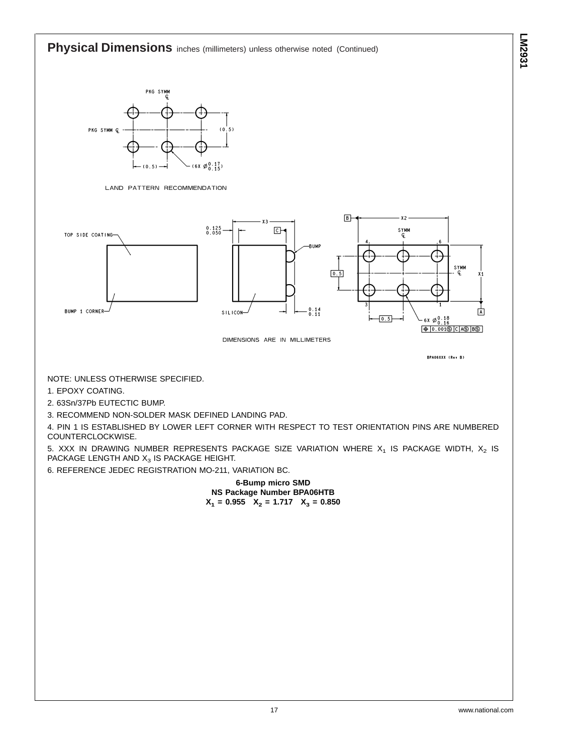